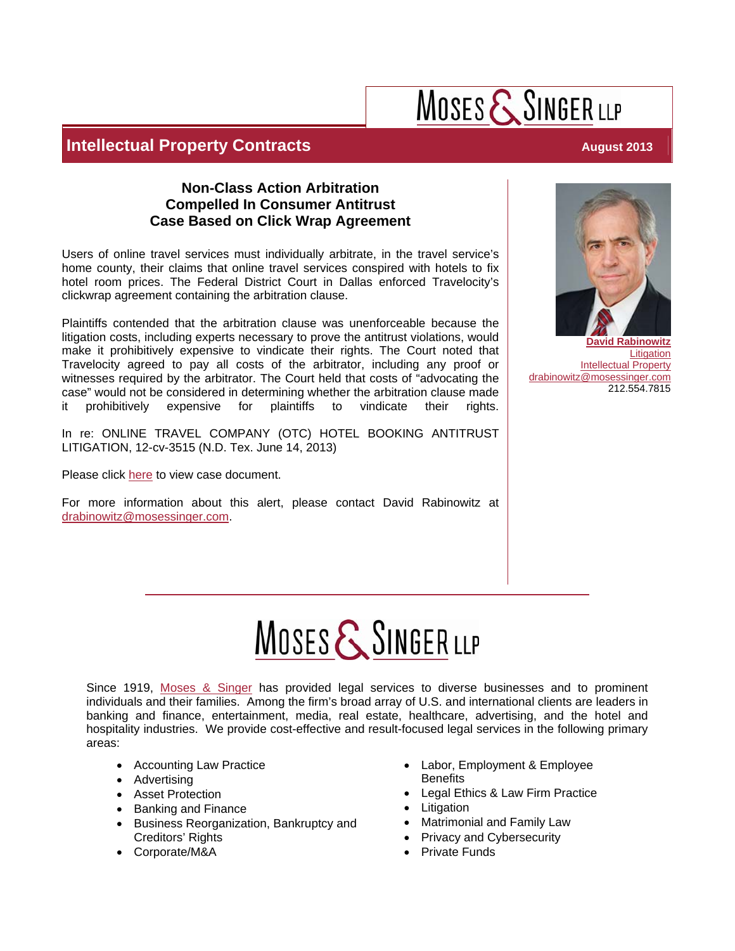# MOSES & SINGER LLP

## **Intellectual Property Contracts August 2013**

### **Non-Class Action Arbitration Compelled In Consumer Antitrust Case Based on Click Wrap Agreement**

Users of online travel services must individually arbitrate, in the travel service's home county, their claims that online travel services conspired with hotels to fix hotel room prices. The Federal District Court in Dallas enforced Travelocity's clickwrap agreement containing the arbitration clause.

Plaintiffs contended that the arbitration clause was unenforceable because the litigation costs, including experts necessary to prove the antitrust violations, would make it prohibitively expensive to vindicate their rights. The Court noted that Travelocity agreed to pay all costs of the arbitrator, including any proof or witnesses required by the arbitrator. The Court held that costs of "advocating the case" would not be considered in determining whether the arbitration clause made it prohibitively expensive for plaintiffs to vindicate their rights.

In re: ONLINE TRAVEL COMPANY (OTC) HOTEL BOOKING ANTITRUST LITIGATION, 12-cv-3515 (N.D. Tex. June 14, 2013)

Please click [here](http://scholar.google.com/scholar_case?case=12483689504840909853&q=In+re:+ONLINE+TRAVEL+COMPANY+(OTC)+HOTEL+BOOKING+ANTITRUST+LITIGATION&hl=en&as_sdt=3,33) to view case document.

For more information about this alert, please contact David Rabinowitz at drabinowitz@mosessinger.com.



**[Litigation](http://www.mosessinger.com/practice-industries/21-litigation)** [Intellectual Property](http://www.mosessinger.com/practice-industries/16-intellectual-property) drabinowitz@mosessinger.com 212.554.7815

# MOSES & SINGER LLP

Since 1919, [Moses & Singer](http://www.mosessinger.com/) has provided legal services to diverse businesses and to prominent individuals and their families. Among the firm's broad array of U.S. and international clients are leaders in banking and finance, entertainment, media, real estate, healthcare, advertising, and the hotel and hospitality industries. We provide cost-effective and result-focused legal services in the following primary areas:

- Accounting Law Practice
- Advertising
- Asset Protection
- Banking and Finance
- Business Reorganization, Bankruptcy and Creditors' Rights
- Corporate/M&A
- Labor, Employment & Employee **Benefits**
- Legal Ethics & Law Firm Practice
- **Litigation**
- Matrimonial and Family Law
- Privacy and Cybersecurity
- Private Funds